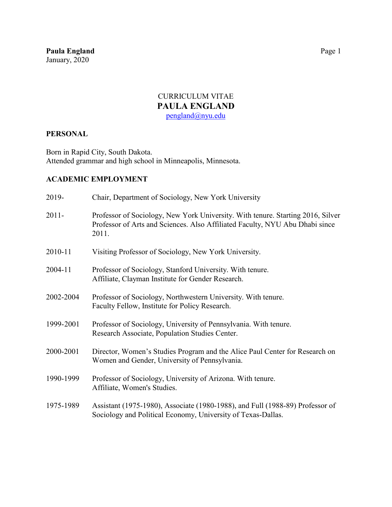## CURRICULUM VITAE **PAULA ENGLAND** [pengland@nyu.edu](mailto:pengland@nyu.edu)

## **PERSONAL**

Born in Rapid City, South Dakota. Attended grammar and high school in Minneapolis, Minnesota.

## **ACADEMIC EMPLOYMENT**

| 2019-     | Chair, Department of Sociology, New York University                                                                                                                      |
|-----------|--------------------------------------------------------------------------------------------------------------------------------------------------------------------------|
| $2011 -$  | Professor of Sociology, New York University. With tenure. Starting 2016, Silver<br>Professor of Arts and Sciences. Also Affiliated Faculty, NYU Abu Dhabi since<br>2011. |
| 2010-11   | Visiting Professor of Sociology, New York University.                                                                                                                    |
| 2004-11   | Professor of Sociology, Stanford University. With tenure.<br>Affiliate, Clayman Institute for Gender Research.                                                           |
| 2002-2004 | Professor of Sociology, Northwestern University. With tenure.<br>Faculty Fellow, Institute for Policy Research.                                                          |
| 1999-2001 | Professor of Sociology, University of Pennsylvania. With tenure.<br>Research Associate, Population Studies Center.                                                       |
| 2000-2001 | Director, Women's Studies Program and the Alice Paul Center for Research on<br>Women and Gender, University of Pennsylvania.                                             |
| 1990-1999 | Professor of Sociology, University of Arizona. With tenure.<br>Affiliate, Women's Studies.                                                                               |
| 1975-1989 | Assistant (1975-1980), Associate (1980-1988), and Full (1988-89) Professor of<br>Sociology and Political Economy, University of Texas-Dallas.                            |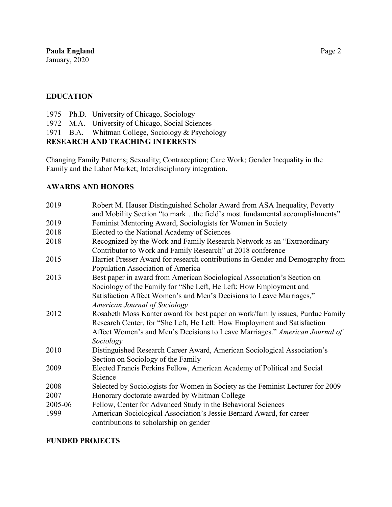#### **EDUCATION**

|  | 1975 Ph.D. University of Chicago, Sociology |  |
|--|---------------------------------------------|--|
|  |                                             |  |

- 1972 M.A. University of Chicago, Social Sciences
- 1971 B.A. Whitman College, Sociology & Psychology

## **RESEARCH AND TEACHING INTERESTS**

Changing Family Patterns; Sexuality; Contraception; Care Work; Gender Inequality in the Family and the Labor Market; Interdisciplinary integration.

### **AWARDS AND HONORS**

| 2019    | Robert M. Hauser Distinguished Scholar Award from ASA Inequality, Poverty<br>and Mobility Section "to markthe field's most fundamental accomplishments"    |
|---------|------------------------------------------------------------------------------------------------------------------------------------------------------------|
| 2019    | Feminist Mentoring Award, Sociologists for Women in Society                                                                                                |
| 2018    | Elected to the National Academy of Sciences                                                                                                                |
| 2018    | Recognized by the Work and Family Research Network as an "Extraordinary                                                                                    |
|         | Contributor to Work and Family Research" at 2018 conference                                                                                                |
| 2015    | Harriet Presser Award for research contributions in Gender and Demography from                                                                             |
|         | Population Association of America                                                                                                                          |
| 2013    | Best paper in award from American Sociological Association's Section on                                                                                    |
|         | Sociology of the Family for "She Left, He Left: How Employment and                                                                                         |
|         | Satisfaction Affect Women's and Men's Decisions to Leave Marriages,"                                                                                       |
|         | American Journal of Sociology                                                                                                                              |
| 2012    | Rosabeth Moss Kanter award for best paper on work/family issues, Purdue Family<br>Research Center, for "She Left, He Left: How Employment and Satisfaction |
|         | Affect Women's and Men's Decisions to Leave Marriages." American Journal of<br>Sociology                                                                   |
| 2010    | Distinguished Research Career Award, American Sociological Association's                                                                                   |
|         | Section on Sociology of the Family                                                                                                                         |
| 2009    | Elected Francis Perkins Fellow, American Academy of Political and Social                                                                                   |
|         | Science                                                                                                                                                    |
| 2008    | Selected by Sociologists for Women in Society as the Feminist Lecturer for 2009                                                                            |
| 2007    | Honorary doctorate awarded by Whitman College                                                                                                              |
| 2005-06 | Fellow, Center for Advanced Study in the Behavioral Sciences                                                                                               |
| 1999    | American Sociological Association's Jessie Bernard Award, for career                                                                                       |
|         | contributions to scholarship on gender                                                                                                                     |

#### **FUNDED PROJECTS**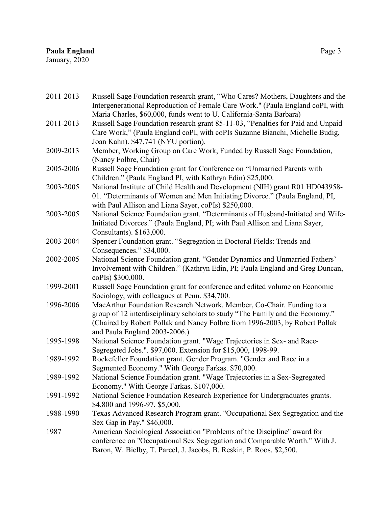2011-2013 Russell Sage Foundation research grant, "Who Cares? Mothers, Daughters and the Intergenerational Reproduction of Female Care Work." (Paula England coPI, with Maria Charles, \$60,000, funds went to U. California-Santa Barbara) 2011-2013 Russell Sage Foundation research grant 85-11-03, "Penalties for Paid and Unpaid Care Work," (Paula England coPI, with coPIs Suzanne Bianchi, Michelle Budig, Joan Kahn). \$47,741 (NYU portion). 2009-2013 Member, Working Group on Care Work, Funded by Russell Sage Foundation, (Nancy Folbre, Chair) 2005-2006 Russell Sage Foundation grant for Conference on "Unmarried Parents with Children." (Paula England PI, with Kathryn Edin) \$25,000. 2003-2005 National Institute of Child Health and Development (NIH) grant R01 HD043958- 01. "Determinants of Women and Men Initiating Divorce." (Paula England, PI, with Paul Allison and Liana Sayer, coPIs) \$250,000. 2003-2005 National Science Foundation grant. "Determinants of Husband-Initiated and Wife-Initiated Divorces." (Paula England, PI; with Paul Allison and Liana Sayer, Consultants). \$163,000. 2003-2004 Spencer Foundation grant. "Segregation in Doctoral Fields: Trends and Consequences." \$34,000. 2002-2005 National Science Foundation grant. "Gender Dynamics and Unmarried Fathers' Involvement with Children." (Kathryn Edin, PI; Paula England and Greg Duncan, coPIs) \$300,000. 1999-2001 Russell Sage Foundation grant for conference and edited volume on Economic Sociology, with colleagues at Penn. \$34,700. 1996-2006 MacArthur Foundation Research Network. Member, Co-Chair. Funding to a group of 12 interdisciplinary scholars to study "The Family and the Economy." (Chaired by Robert Pollak and Nancy Folbre from 1996-2003, by Robert Pollak and Paula England 2003-2006.) 1995-1998 National Science Foundation grant. "Wage Trajectories in Sex- and Race-Segregated Jobs.". \$97,000. Extension for \$15,000, 1998-99. 1989-1992 Rockefeller Foundation grant. Gender Program. "Gender and Race in a Segmented Economy." With George Farkas. \$70,000. 1989-1992 National Science Foundation grant. "Wage Trajectories in a Sex-Segregated Economy." With George Farkas. \$107,000. 1991-1992 National Science Foundation Research Experience for Undergraduates grants. \$4,800 and 1996-97, \$5,000. 1988-1990 Texas Advanced Research Program grant. "Occupational Sex Segregation and the Sex Gap in Pay." \$46,000. 1987 American Sociological Association "Problems of the Discipline" award for conference on "Occupational Sex Segregation and Comparable Worth." With J. Baron, W. Bielby, T. Parcel, J. Jacobs, B. Reskin, P. Roos. \$2,500.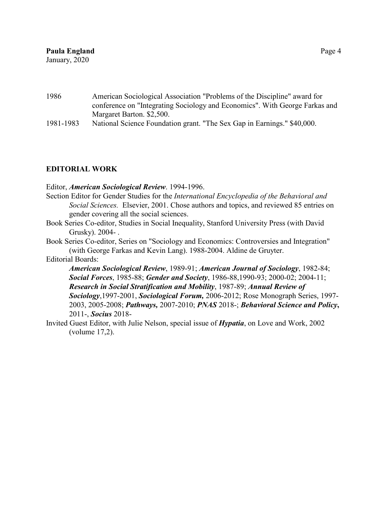1986 American Sociological Association "Problems of the Discipline" award for conference on "Integrating Sociology and Economics". With George Farkas and Margaret Barton. \$2,500. 1981-1983 National Science Foundation grant. "The Sex Gap in Earnings." \$40,000.

#### **EDITORIAL WORK**

Editor, *American Sociological Review*. 1994-1996.

- Section Editor for Gender Studies for the *International Encyclopedia of the Behavioral and Social Sciences.* Elsevier, 2001. Chose authors and topics, and reviewed 85 entries on gender covering all the social sciences.
- Book Series Co-editor, Studies in Social Inequality, Stanford University Press (with David Grusky). 2004- .
- Book Series Co-editor, Series on "Sociology and Economics: Controversies and Integration" (with George Farkas and Kevin Lang). 1988-2004. Aldine de Gruyter.

Editorial Boards:

*American Sociological Review*, 1989-91; *American Journal of Sociology*, 1982-84; *Social Forces*, 1985-88; *Gender and Society*, 1986-88,1990-93; 2000-02; 2004-11; *Research in Social Stratification and Mobility*, 1987-89; *Annual Review of Sociology*,1997-2001, *Sociological Forum,* 2006-2012; Rose Monograph Series, 1997- 2003, 2005-2008; *Pathways,* 2007-2010; *PNAS* 2018-; *Behavioral Science and Policy***,**  2011-, *Socius* 2018-

Invited Guest Editor, with Julie Nelson, special issue of *Hypatia*, on Love and Work, 2002 (volume 17,2).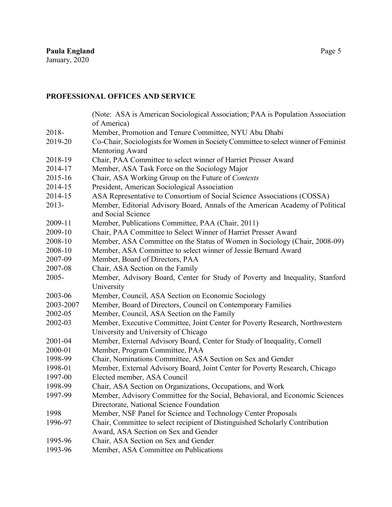## **PROFESSIONAL OFFICES AND SERVICE**

|           | (Note: ASA is American Sociological Association; PAA is Population Association                      |  |  |
|-----------|-----------------------------------------------------------------------------------------------------|--|--|
|           | of America)                                                                                         |  |  |
| 2018-     | Member, Promotion and Tenure Committee, NYU Abu Dhabi                                               |  |  |
| 2019-20   | Co-Chair, Sociologists for Women in Society Committee to select winner of Feminist                  |  |  |
|           | Mentoring Award                                                                                     |  |  |
| 2018-19   | Chair, PAA Committee to select winner of Harriet Presser Award                                      |  |  |
| 2014-17   | Member, ASA Task Force on the Sociology Major                                                       |  |  |
| 2015-16   | Chair, ASA Working Group on the Future of Contexts                                                  |  |  |
| 2014-15   | President, American Sociological Association                                                        |  |  |
| 2014-15   | ASA Representative to Consortium of Social Science Associations (COSSA)                             |  |  |
| 2013-     | Member, Editorial Advisory Board, Annals of the American Academy of Political<br>and Social Science |  |  |
| 2009-11   | Member, Publications Committee, PAA (Chair, 2011)                                                   |  |  |
| 2009-10   | Chair, PAA Committee to Select Winner of Harriet Presser Award                                      |  |  |
| 2008-10   | Member, ASA Committee on the Status of Women in Sociology (Chair, 2008-09)                          |  |  |
| 2008-10   | Member, ASA Committee to select winner of Jessie Bernard Award                                      |  |  |
| 2007-09   | Member, Board of Directors, PAA                                                                     |  |  |
| 2007-08   | Chair, ASA Section on the Family                                                                    |  |  |
| $2005 -$  | Member, Advisory Board, Center for Study of Poverty and Inequality, Stanford                        |  |  |
|           | University                                                                                          |  |  |
| 2003-06   | Member, Council, ASA Section on Economic Sociology                                                  |  |  |
| 2003-2007 | Member, Board of Directors, Council on Contemporary Families                                        |  |  |
| 2002-05   | Member, Council, ASA Section on the Family                                                          |  |  |
| 2002-03   | Member, Executive Committee, Joint Center for Poverty Research, Northwestern                        |  |  |
|           | University and University of Chicago                                                                |  |  |
| 2001-04   | Member, External Advisory Board, Center for Study of Inequality, Cornell                            |  |  |
| 2000-01   | Member, Program Committee, PAA                                                                      |  |  |
| 1998-99   | Chair, Nominations Committee, ASA Section on Sex and Gender                                         |  |  |
| 1998-01   | Member, External Advisory Board, Joint Center for Poverty Research, Chicago                         |  |  |
| 1997-00   | Elected member, ASA Council                                                                         |  |  |
| 1998-99   | Chair, ASA Section on Organizations, Occupations, and Work                                          |  |  |
| 1997-99   | Member, Advisory Committee for the Social, Behavioral, and Economic Sciences                        |  |  |
|           | Directorate, National Science Foundation                                                            |  |  |
| 1998      | Member, NSF Panel for Science and Technology Center Proposals                                       |  |  |
| 1996-97   | Chair, Committee to select recipient of Distinguished Scholarly Contribution                        |  |  |
|           | Award, ASA Section on Sex and Gender                                                                |  |  |
| 1995-96   | Chair, ASA Section on Sex and Gender                                                                |  |  |
| 1993-96   | Member, ASA Committee on Publications                                                               |  |  |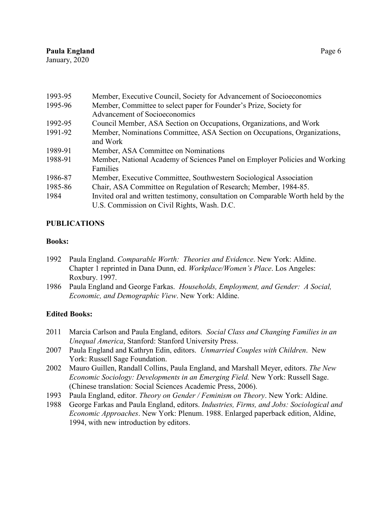| 1993-95 | Member, Executive Council, Society for Advancement of Socioeconomics             |
|---------|----------------------------------------------------------------------------------|
| 1995-96 | Member, Committee to select paper for Founder's Prize, Society for               |
|         | Advancement of Socioeconomics                                                    |
| 1992-95 | Council Member, ASA Section on Occupations, Organizations, and Work              |
| 1991-92 | Member, Nominations Committee, ASA Section on Occupations, Organizations,        |
|         | and Work                                                                         |
| 1989-91 | Member, ASA Committee on Nominations                                             |
| 1988-91 | Member, National Academy of Sciences Panel on Employer Policies and Working      |
|         | Families                                                                         |
| 1986-87 | Member, Executive Committee, Southwestern Sociological Association               |
| 1985-86 | Chair, ASA Committee on Regulation of Research; Member, 1984-85.                 |
| 1984    | Invited oral and written testimony, consultation on Comparable Worth held by the |
|         | U.S. Commission on Civil Rights, Wash. D.C.                                      |

## **PUBLICATIONS**

### **Books:**

- 1992 Paula England. *Comparable Worth: Theories and Evidence*. New York: Aldine. Chapter 1 reprinted in Dana Dunn, ed. *Workplace/Women's Place*. Los Angeles: Roxbury. 1997.
- 1986 Paula England and George Farkas. *Households, Employment, and Gender: A Social, Economic, and Demographic View*. New York: Aldine.

## **Edited Books:**

- 2011 Marcia Carlson and Paula England, editors*. Social Class and Changing Families in an Unequal America*, Stanford: Stanford University Press.
- 2007 Paula England and Kathryn Edin, editors. *Unmarried Couples with Children*. New York: Russell Sage Foundation.
- 2002 Mauro Guillen, Randall Collins, Paula England, and Marshall Meyer, editors. *The New Economic Sociology: Developments in an Emerging Field.* New York: Russell Sage. (Chinese translation: Social Sciences Academic Press, 2006).
- 1993 Paula England, editor. *Theory on Gender / Feminism on Theory*. New York: Aldine.
- 1988 George Farkas and Paula England, editors. *Industries, Firms, and Jobs: Sociological and Economic Approaches*. New York: Plenum. 1988. Enlarged paperback edition, Aldine, 1994, with new introduction by editors.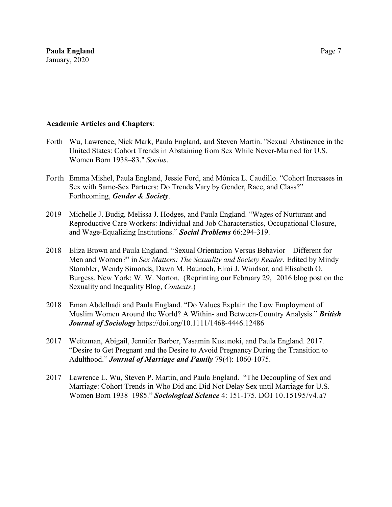#### **Academic Articles and Chapters**:

- Forth Wu, Lawrence, Nick Mark, Paula England, and Steven Martin. "Sexual Abstinence in the United States: Cohort Trends in Abstaining from Sex While Never-Married for U.S. Women Born 1938–83." *Socius*.
- Forth Emma Mishel, Paula England, Jessie Ford, and Mónica L. Caudillo. "Cohort Increases in Sex with Same-Sex Partners: Do Trends Vary by Gender, Race, and Class?" Forthcoming, *Gender & Society*.
- 2019 Michelle J. Budig, Melissa J. Hodges, and Paula England. "Wages of Nurturant and Reproductive Care Workers: Individual and Job Characteristics, Occupational Closure, and Wage-Equalizing Institutions." *Social Problems* 66:294-319.
- 2018 Eliza Brown and Paula England. "Sexual Orientation Versus Behavior—Different for Men and Women?" in *Sex Matters: The Sexuality and Society Reader.* Edited by Mindy Stombler, Wendy Simonds, Dawn M. Baunach, Elroi J. Windsor, and Elisabeth O. Burgess. New York: W. W. Norton. (Reprinting our February 29, 2016 blog post on the Sexuality and Inequality Blog, *Contexts*.)
- 2018 Eman Abdelhadi and Paula England. "Do Values Explain the Low Employment of Muslim Women Around the World? A Within- and Between-Country Analysis." *British Journal of Sociology* <https://doi.org/10.1111/1468-4446.12486>
- 2017 Weitzman, Abigail, Jennifer Barber, Yasamin Kusunoki, and Paula England. 2017. "Desire to Get Pregnant and the Desire to Avoid Pregnancy During the Transition to Adulthood." *Journal of Marriage and Family* 79(4): 1060-1075.
- 2017 Lawrence L. Wu, Steven P. Martin, and Paula England. "The Decoupling of Sex and Marriage: Cohort Trends in Who Did and Did Not Delay Sex until Marriage for U.S. Women Born 1938–1985." *Sociological Science* 4: 151-175. DOI 10.15195/v4.a7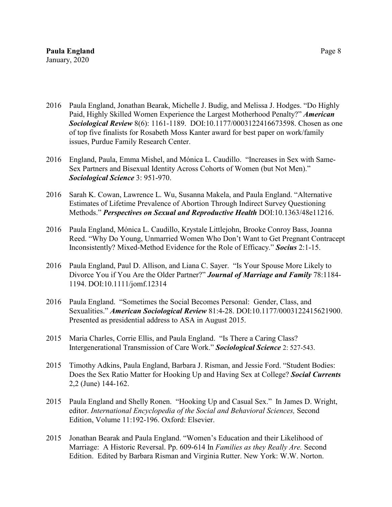- 2016 Paula England, Jonathan Bearak, Michelle J. Budig, and Melissa J. Hodges. "Do Highly Paid, Highly Skilled Women Experience the Largest Motherhood Penalty?" *American Sociological Review* 8(6): 1161-1189. DOI:10.1177/0003122416673598. Chosen as one of top five finalists for Rosabeth Moss Kanter award for best paper on work/family issues, Purdue Family Research Center.
- 2016 England, Paula, Emma Mishel, and Mónica L. Caudillo. "Increases in Sex with Same-Sex Partners and Bisexual Identity Across Cohorts of Women (but Not Men)." *Sociological Science* 3: 951-970.
- 2016 Sarah K. Cowan, Lawrence L. Wu, Susanna Makela, and Paula England. "Alternative Estimates of Lifetime Prevalence of Abortion Through Indirect Survey Questioning Methods." *Perspectives on Sexual and Reproductive Health* DOI:10.1363/48e11216.
- 2016 Paula England, Mónica L. Caudillo, Krystale Littlejohn, Brooke Conroy Bass, Joanna Reed. "Why Do Young, Unmarried Women Who Don't Want to Get Pregnant Contracept Inconsistently? Mixed-Method Evidence for the Role of Efficacy." *Socius* 2:1-15.
- 2016 Paula England, Paul D. Allison, and Liana C. Sayer. "Is Your Spouse More Likely to Divorce You if You Are the Older Partner?" *Journal of Marriage and Family* 78:1184- 1194. DOI:10.1111/jomf.12314
- 2016 Paula England. "Sometimes the Social Becomes Personal: Gender, Class, and Sexualities." *American Sociological Review* 81:4-28. DOI:10.1177/0003122415621900. Presented as presidential address to ASA in August 2015.
- 2015 Maria Charles, Corrie Ellis, and Paula England. "Is There a Caring Class? Intergenerational Transmission of Care Work." *Sociological Science* 2: 527-543.
- 2015 Timothy Adkins, Paula England, Barbara J. Risman, and Jessie Ford. "Student Bodies: Does the Sex Ratio Matter for Hooking Up and Having Sex at College? *Social Currents*  2,2 (June) 144-162.
- 2015 Paula England and Shelly Ronen. "Hooking Up and Casual Sex." In James D. Wright, editor. *International Encyclopedia of the Social and Behavioral Sciences,* Second Edition, Volume 11:192-196. Oxford: Elsevier.
- 2015 Jonathan Bearak and Paula England. "Women's Education and their Likelihood of Marriage: A Historic Reversal. Pp. 609-614 In *Families as they Really Are.* Second Edition. Edited by Barbara Risman and Virginia Rutter. New York: W.W. Norton.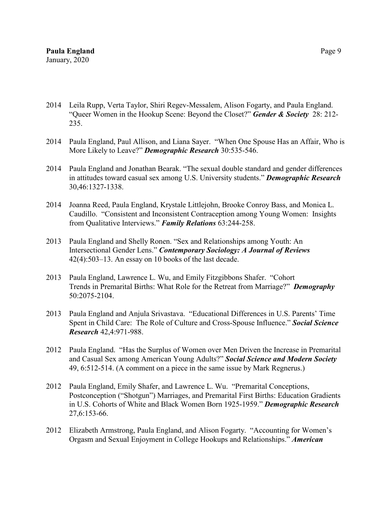- 2014 Leila Rupp, Verta Taylor, Shiri Regev-Messalem, Alison Fogarty, and Paula England. "Queer Women in the Hookup Scene: Beyond the Closet?" *Gender & Society* 28: 212- 235.
- 2014 Paula England, Paul Allison, and Liana Sayer. "When One Spouse Has an Affair, Who is More Likely to Leave?" *Demographic Research* 30:535-546.
- 2014 Paula England and Jonathan Bearak. "The sexual double standard and gender differences in attitudes toward casual sex among U.S. University students." *Demographic Research* 30,46:1327-1338.
- 2014 Joanna Reed, Paula England, Krystale Littlejohn, Brooke Conroy Bass, and Monica L. Caudillo. "Consistent and Inconsistent Contraception among Young Women: Insights from Qualitative Interviews." *Family Relations* 63:244-258.
- 2013 Paula England and Shelly Ronen. "Sex and Relationships among Youth: An Intersectional Gender Lens." *Contemporary Sociology: A Journal of Reviews* 42(4):503–13. An essay on 10 books of the last decade.
- 2013 Paula England, Lawrence L. Wu, and Emily Fitzgibbons Shafer. "Cohort Trends in Premarital Births: What Role for the Retreat from Marriage?" *Demography* 50:2075-2104.
- 2013 Paula England and Anjula Srivastava. "Educational Differences in U.S. Parents' Time Spent in Child Care: The Role of Culture and Cross-Spouse Influence." *Social Science Research* 42,4:971-988.
- 2012 Paula England. "Has the Surplus of Women over Men Driven the Increase in Premarital and Casual Sex among American Young Adults?" *Social Science and Modern Society* 49, 6:512-514. (A comment on a piece in the same issue by Mark Regnerus.)
- 2012 Paula England, Emily Shafer, and Lawrence L. Wu. "Premarital Conceptions, Postconception ("Shotgun") Marriages, and Premarital First Births: Education Gradients in U.S. Cohorts of White and Black Women Born 1925-1959." *Demographic Research* 27,6:153-66.
- 2012 Elizabeth Armstrong, Paula England, and Alison Fogarty. "Accounting for Women's Orgasm and Sexual Enjoyment in College Hookups and Relationships." *American*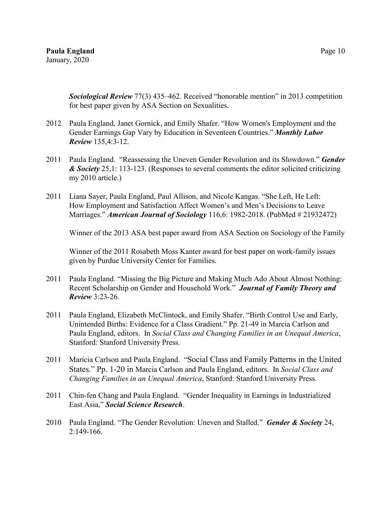*Sociological Review* 77(3) 435–462. Received "honorable mention" in 2013 competition for best paper given by ASA Section on Sexualities.

- 2012 Paula England, Janet Gornick, and Emily Shafer. "How Women's Employment and the Gender Earnings Gap Vary by Education in Seventeen Countries." *Monthly Labor Review* 135,4:3-12.
- 2011 Paula England. "Reassessing the Uneven Gender Revolution and its Slowdown." *Gender & Society* 25,1: 113-123. (Responses to several comments the editor solicited criticizing my 2010 article.)
- 2011 Liana Sayer, Paula England, Paul Allison, and Nicole Kangas. "She Left, He Left: How Employment and Satisfaction Affect Women's and Men's Decisions to Leave Marriages." *American Journal of Sociology* 116,6: 1982-2018. (PubMed # 21932472)

Winner of the 2013 ASA best paper award from ASA Section on Sociology of the Family

Winner of the 2011 Rosabeth Moss Kanter award for best paper on work-family issues given by Purdue University Center for Families.

- 2011 Paula England. "Missing the Big Picture and Making Much Ado About Almost Nothing: Recent Scholarship on Gender and Household Work." *Journal of Family Theory and Review* 3:23-26.
- 2011 Paula England, Elizabeth McClintock, and Emily Shafer. "Birth Control Use and Early, Unintended Births: Evidence for a Class Gradient." Pp. 21-49 in Marcia Carlson and Paula England, editors. In *Social Class and Changing Families in an Unequal America*, Stanford: Stanford University Press.
- 2011 Maricia Carlson and Paula England. "Social Class and Family Patterns in the United States." Pp. 1-20 in Marcia Carlson and Paula England, editors. In *Social Class and Changing Families in an Unequal America*, Stanford: Stanford University Press.
- 2011 Chin-fen Chang and Paula England. "Gender Inequality in Earnings in Industrialized East Asia," *Social Science Research*.
- 2010 Paula England. "The Gender Revolution: Uneven and Stalled." *Gender & Society* 24, 2:149-166.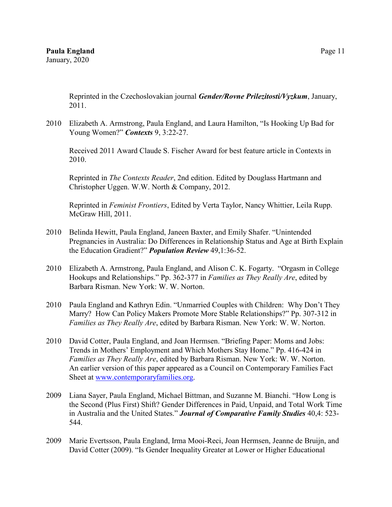Reprinted in the Czechoslovakian journal *Gender/Rovne Prilezitosti/Vyzkum*, January, 2011.

2010 Elizabeth A. Armstrong, Paula England, and Laura Hamilton, "Is Hooking Up Bad for Young Women?" *Contexts* 9, 3:22-27.

Received 2011 Award Claude S. Fischer Award for best feature article in Contexts in 2010.

Reprinted in *The Contexts Reader*, 2nd edition. Edited by Douglass Hartmann and Christopher Uggen. W.W. North & Company, 2012.

Reprinted in *Feminist Frontiers*, Edited by Verta Taylor, Nancy Whittier, Leila Rupp. McGraw Hill, 2011.

- 2010 Belinda Hewitt, Paula England, Janeen Baxter, and Emily Shafer. "Unintended Pregnancies in Australia: Do Differences in Relationship Status and Age at Birth Explain the Education Gradient?" *Population Review* 49,1:36-52.
- 2010 Elizabeth A. Armstrong, Paula England, and Alison C. K. Fogarty. "Orgasm in College Hookups and Relationships." Pp. 362-377 in *Families as They Really Are*, edited by Barbara Risman. New York: W. W. Norton.
- 2010 Paula England and Kathryn Edin. "Unmarried Couples with Children: Why Don't They Marry? How Can Policy Makers Promote More Stable Relationships?" Pp. 307-312 in *Families as They Really Are*, edited by Barbara Risman. New York: W. W. Norton.
- 2010 David Cotter, Paula England, and Joan Hermsen. "Briefing Paper: Moms and Jobs: Trends in Mothers' Employment and Which Mothers Stay Home." Pp. 416-424 in *Families as They Really Are*, edited by Barbara Risman. New York: W. W. Norton. An earlier version of this paper appeared as a Council on Contemporary Families Fact Sheet at [www.contemporaryfamilies.org.](http://www.contemporaryfamilies.org/)
- 2009 Liana Sayer, Paula England, Michael Bittman, and Suzanne M. Bianchi. "How Long is the Second (Plus First) Shift? Gender Differences in Paid, Unpaid, and Total Work Time in Australia and the United States." *Journal of Comparative Family Studies* 40,4: 523- 544.
- 2009 Marie Evertsson, Paula England, Irma Mooi-Reci, Joan Hermsen, Jeanne de Bruijn, and David Cotter (2009). "Is Gender Inequality Greater at Lower or Higher Educational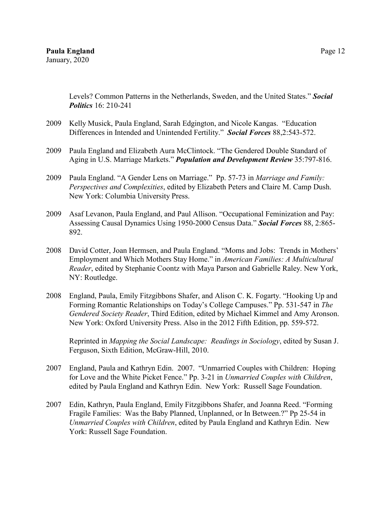Levels? Common Patterns in the Netherlands, Sweden, and the United States." *Social Politics* 16: 210-241

- 2009 Kelly Musick, Paula England, Sarah Edgington, and Nicole Kangas. "Education Differences in Intended and Unintended Fertility." *Social Forces* 88,2:543-572.
- 2009 Paula England and Elizabeth Aura McClintock. "The Gendered Double Standard of Aging in U.S. Marriage Markets." *Population and Development Review* 35:797-816.
- 2009 Paula England. "A Gender Lens on Marriage." Pp. 57-73 in *Marriage and Family: Perspectives and Complexities*, edited by Elizabeth Peters and Claire M. Camp Dush. New York: Columbia University Press.
- 2009 Asaf Levanon, Paula England, and Paul Allison. "Occupational Feminization and Pay: Assessing Causal Dynamics Using 1950-2000 Census Data." *Social Forces* 88, 2:865- 892.
- 2008 David Cotter, Joan Hermsen, and Paula England. "Moms and Jobs: Trends in Mothers' Employment and Which Mothers Stay Home." in *American Families: A Multicultural Reader*, edited by Stephanie Coontz with Maya Parson and Gabrielle Raley. New York, NY: Routledge.
- 2008 England, Paula, Emily Fitzgibbons Shafer, and Alison C. K. Fogarty. "Hooking Up and Forming Romantic Relationships on Today's College Campuses." Pp. 531-547 in *The Gendered Society Reader*, Third Edition, edited by Michael Kimmel and Amy Aronson. New York: Oxford University Press. Also in the 2012 Fifth Edition, pp. 559-572.

Reprinted in *Mapping the Social Landscape: Readings in Sociology*, edited by Susan J. Ferguson, Sixth Edition, McGraw-Hill, 2010.

- 2007 England, Paula and Kathryn Edin. 2007. "Unmarried Couples with Children: Hoping for Love and the White Picket Fence." Pp. 3-21 in *Unmarried Couples with Children*, edited by Paula England and Kathryn Edin. New York: Russell Sage Foundation.
- 2007 Edin, Kathryn, Paula England, Emily Fitzgibbons Shafer, and Joanna Reed. "Forming Fragile Families: Was the Baby Planned, Unplanned, or In Between.?" Pp 25-54 in *Unmarried Couples with Children*, edited by Paula England and Kathryn Edin. New York: Russell Sage Foundation.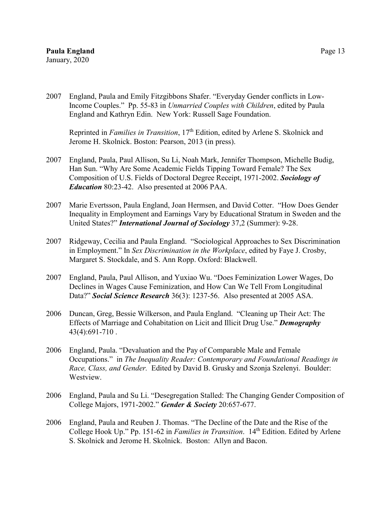2007 England, Paula and Emily Fitzgibbons Shafer. "Everyday Gender conflicts in Low-Income Couples." Pp. 55-83 in *Unmarried Couples with Children*, edited by Paula England and Kathryn Edin. New York: Russell Sage Foundation.

Reprinted in *Families in Transition*, 17th Edition, edited by Arlene S. Skolnick and Jerome H. Skolnick. Boston: Pearson, 2013 (in press).

- 2007 England, Paula, Paul Allison, Su Li, Noah Mark, Jennifer Thompson, Michelle Budig, Han Sun. "Why Are Some Academic Fields Tipping Toward Female? The Sex Composition of U.S. Fields of Doctoral Degree Receipt, 1971-2002. *Sociology of Education* 80:23-42. Also presented at 2006 PAA.
- 2007 Marie Evertsson, Paula England, Joan Hermsen, and David Cotter. "How Does Gender Inequality in Employment and Earnings Vary by Educational Stratum in Sweden and the United States?" *International Journal of Sociology* 37,2 (Summer): 9-28.
- 2007 Ridgeway, Cecilia and Paula England. "Sociological Approaches to Sex Discrimination in Employment." In *Sex Discrimination in the Workplace*, edited by Faye J. Crosby, Margaret S. Stockdale, and S. Ann Ropp. Oxford: Blackwell.
- 2007 England, Paula, Paul Allison, and Yuxiao Wu. "Does Feminization Lower Wages, Do Declines in Wages Cause Feminization, and How Can We Tell From Longitudinal Data?" *Social Science Research* 36(3): 1237-56. Also presented at 2005 ASA.
- 2006 Duncan, Greg, Bessie Wilkerson, and Paula England. "Cleaning up Their Act: The Effects of Marriage and Cohabitation on Licit and Illicit Drug Use." *Demography* 43(4):691-710 .
- 2006 England, Paula. "Devaluation and the Pay of Comparable Male and Female Occupations." in *The Inequality Reader: Contemporary and Foundational Readings in Race, Class, and Gender.* Edited by David B. Grusky and Szonja Szelenyi. Boulder: Westview.
- 2006 England, Paula and Su Li. "Desegregation Stalled: The Changing Gender Composition of College Majors, 1971-2002." *Gender & Society* 20:657-677.
- 2006 England, Paula and Reuben J. Thomas. "The Decline of the Date and the Rise of the College Hook Up." Pp. 151-62 in *Families in Transition*. 14<sup>th</sup> Edition. Edited by Arlene S. Skolnick and Jerome H. Skolnick. Boston: Allyn and Bacon.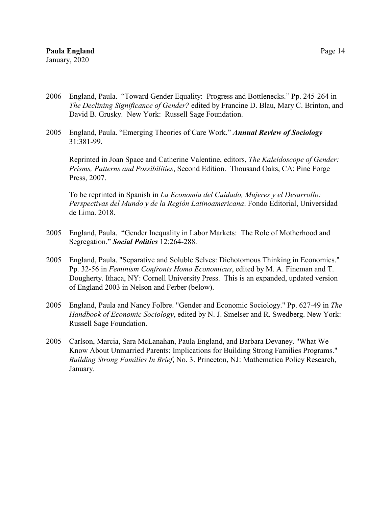- 2006 England, Paula. "Toward Gender Equality: Progress and Bottlenecks." Pp. 245-264 in *The Declining Significance of Gender?* edited by Francine D. Blau, Mary C. Brinton, and David B. Grusky. New York: Russell Sage Foundation.
- 2005 England, Paula. "Emerging Theories of Care Work." *Annual Review of Sociology*  31:381-99.

Reprinted in Joan Space and Catherine Valentine, editors, *The Kaleidoscope of Gender: Prisms, Patterns and Possibilities*, Second Edition. Thousand Oaks, CA: Pine Forge Press, 2007.

To be reprinted in Spanish in *La Economía del Cuidado, Mujeres y el Desarrollo: Perspectivas del Mundo y de la Región Latinoamericana*. Fondo Editorial, Universidad de Lima. 2018.

- 2005 England, Paula. "Gender Inequality in Labor Markets: The Role of Motherhood and Segregation." *Social Politics* 12:264-288.
- 2005 England, Paula. "Separative and Soluble Selves: Dichotomous Thinking in Economics." Pp. 32-56 in *Feminism Confronts Homo Economicus*, edited by M. A. Fineman and T. Dougherty. Ithaca, NY: Cornell University Press. This is an expanded, updated version of England 2003 in Nelson and Ferber (below).
- 2005 England, Paula and Nancy Folbre. "Gender and Economic Sociology." Pp. 627-49 in *The Handbook of Economic Sociology*, edited by N. J. Smelser and R. Swedberg. New York: Russell Sage Foundation.
- 2005 Carlson, Marcia, Sara McLanahan, Paula England, and Barbara Devaney. "What We Know About Unmarried Parents: Implications for Building Strong Families Programs." *Building Strong Families In Brief*, No. 3. Princeton, NJ: Mathematica Policy Research, January.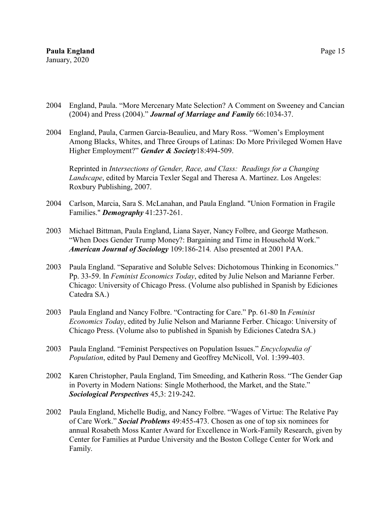- 2004 England, Paula. "More Mercenary Mate Selection? A Comment on Sweeney and Cancian (2004) and Press (2004)." *Journal of Marriage and Family* 66:1034-37.
- 2004 England, Paula, Carmen Garcia-Beaulieu, and Mary Ross. "Women's Employment Among Blacks, Whites, and Three Groups of Latinas: Do More Privileged Women Have Higher Employment?" *Gender & Society*18:494-509.

Reprinted in *Intersections of Gender, Race, and Class: Readings for a Changing Landscape*, edited by Marcia Texler Segal and Theresa A. Martinez. Los Angeles: Roxbury Publishing, 2007.

- 2004 Carlson, Marcia, Sara S. McLanahan, and Paula England. "Union Formation in Fragile Families." *Demography* 41:237-261.
- 2003 Michael Bittman, Paula England, Liana Sayer, Nancy Folbre, and George Matheson. "When Does Gender Trump Money?: Bargaining and Time in Household Work." *American Journal of Sociology* 109:186-214*.* Also presented at 2001 PAA.
- 2003 Paula England. "Separative and Soluble Selves: Dichotomous Thinking in Economics." Pp. 33-59. In *Feminist Economics Today*, edited by Julie Nelson and Marianne Ferber. Chicago: University of Chicago Press. (Volume also published in Spanish by Ediciones Catedra SA.)
- 2003 Paula England and Nancy Folbre. "Contracting for Care." Pp. 61-80 In *Feminist Economics Today*, edited by Julie Nelson and Marianne Ferber. Chicago: University of Chicago Press. (Volume also to published in Spanish by Ediciones Catedra SA.)
- 2003 Paula England. "Feminist Perspectives on Population Issues." *Encyclopedia of Population*, edited by Paul Demeny and Geoffrey McNicoll, Vol. 1:399-403.
- 2002 Karen Christopher, Paula England, Tim Smeeding, and Katherin Ross. "The Gender Gap in Poverty in Modern Nations: Single Motherhood, the Market, and the State." *Sociological Perspectives* 45,3: 219-242.
- 2002 Paula England, Michelle Budig, and Nancy Folbre. "Wages of Virtue: The Relative Pay of Care Work." *Social Problems* 49:455-473. Chosen as one of top six nominees for annual Rosabeth Moss Kanter Award for Excellence in Work-Family Research, given by Center for Families at Purdue University and the Boston College Center for Work and Family.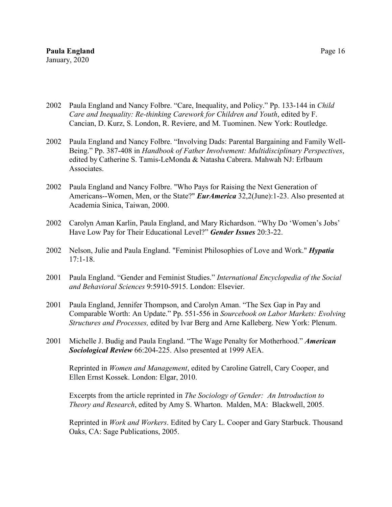- 2002 Paula England and Nancy Folbre. "Care, Inequality, and Policy." Pp. 133-144 in *Child Care and Inequality: Re-thinking Carework for Children and Youth*, edited by F. Cancian, D. Kurz, S. London, R. Reviere, and M. Tuominen. New York: Routledge.
- 2002 Paula England and Nancy Folbre. "Involving Dads: Parental Bargaining and Family Well-Being." Pp. 387-408 in *Handbook of Father Involvement: Multidisciplinary Perspectives*, edited by Catherine S. Tamis-LeMonda & Natasha Cabrera. Mahwah NJ: Erlbaum Associates.
- 2002 Paula England and Nancy Folbre. "Who Pays for Raising the Next Generation of Americans--Women, Men, or the State?" *EurAmerica* 32,2(June):1-23. Also presented at Academia Sinica, Taiwan, 2000.
- 2002 Carolyn Aman Karlin, Paula England, and Mary Richardson. "Why Do 'Women's Jobs' Have Low Pay for Their Educational Level?" *Gender Issues* 20:3-22.
- 2002 Nelson, Julie and Paula England. "Feminist Philosophies of Love and Work." *Hypatia*  17:1-18.
- 2001 Paula England. "Gender and Feminist Studies." *International Encyclopedia of the Social and Behavioral Sciences* 9:5910-5915. London: Elsevier.
- 2001 Paula England, Jennifer Thompson, and Carolyn Aman. "The Sex Gap in Pay and Comparable Worth: An Update." Pp. 551-556 in *Sourcebook on Labor Markets: Evolving Structures and Processes,* edited by Ivar Berg and Arne Kalleberg. New York: Plenum.
- 2001 Michelle J. Budig and Paula England. "The Wage Penalty for Motherhood." *American Sociological Review* 66:204-225. Also presented at 1999 AEA.

Reprinted in *Women and Management*, edited by Caroline Gatrell, Cary Cooper, and Ellen Ernst Kossek. London: Elgar, 2010.

Excerpts from the article reprinted in *The Sociology of Gender: An Introduction to Theory and Research*, edited by Amy S. Wharton. Malden, MA: Blackwell, 2005.

Reprinted in *Work and Workers*. Edited by Cary L. Cooper and Gary Starbuck. Thousand Oaks, CA: Sage Publications, 2005.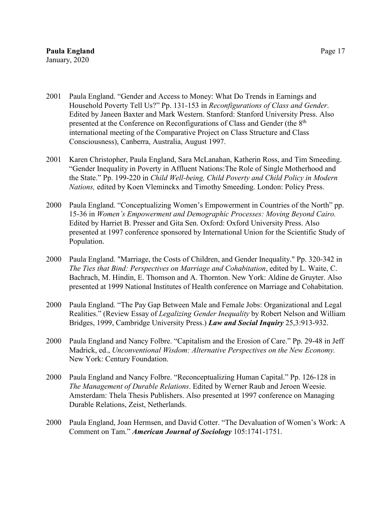# **Paula England** Page 17

January, 2020

- 2001 Paula England. "Gender and Access to Money: What Do Trends in Earnings and Household Poverty Tell Us?" Pp. 131-153 in *Reconfigurations of Class and Gender*. Edited by Janeen Baxter and Mark Western. Stanford: Stanford University Press. Also presented at the Conference on Reconfigurations of Class and Gender (the 8<sup>th</sup> international meeting of the Comparative Project on Class Structure and Class Consciousness), Canberra, Australia, August 1997.
- 2001 Karen Christopher, Paula England, Sara McLanahan, Katherin Ross, and Tim Smeeding. "Gender Inequality in Poverty in Affluent Nations:The Role of Single Motherhood and the State." Pp. 199-220 in *Child Well-being, Child Poverty and Child Policy in Modern Nations,* edited by Koen Vleminckx and Timothy Smeeding. London: Policy Press.
- 2000 Paula England. "Conceptualizing Women's Empowerment in Countries of the North" pp. 15-36 in *Women's Empowerment and Demographic Processes: Moving Beyond Cairo.* Edited by Harriet B. Presser and Gita Sen. Oxford: Oxford University Press. Also presented at 1997 conference sponsored by International Union for the Scientific Study of Population.
- 2000 Paula England. "Marriage, the Costs of Children, and Gender Inequality." Pp. 320-342 in *The Ties that Bind: Perspectives on Marriage and Cohabitation*, edited by L. Waite, C. Bachrach, M. Hindin, E. Thomson and A. Thornton. New York: Aldine de Gruyter. Also presented at 1999 National Institutes of Health conference on Marriage and Cohabitation.
- 2000 Paula England. "The Pay Gap Between Male and Female Jobs: Organizational and Legal Realities." (Review Essay of *Legalizing Gender Inequality* by Robert Nelson and William Bridges, 1999, Cambridge University Press.) *Law and Social Inquiry* 25,3:913-932.
- 2000 Paula England and Nancy Folbre. "Capitalism and the Erosion of Care." Pp. 29-48 in Jeff Madrick, ed., *Unconventional Wisdom: Alternative Perspectives on the New Economy.* New York: Century Foundation.
- 2000 Paula England and Nancy Folbre. "Reconceptualizing Human Capital." Pp. 126-128 in *The Management of Durable Relations*. Edited by Werner Raub and Jeroen Weesie. Amsterdam: Thela Thesis Publishers. Also presented at 1997 conference on Managing Durable Relations, Zeist, Netherlands.
- 2000 Paula England, Joan Hermsen, and David Cotter. "The Devaluation of Women's Work: A Comment on Tam." *American Journal of Sociology* 105:1741-1751.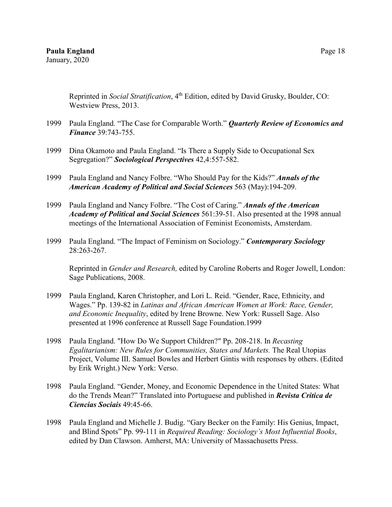Reprinted in *Social Stratification*, 4th Edition, edited by David Grusky, Boulder, CO: Westview Press, 2013.

- 1999 Paula England. "The Case for Comparable Worth." *Quarterly Review of Economics and Finance* 39:743-755.
- 1999 Dina Okamoto and Paula England. "Is There a Supply Side to Occupational Sex Segregation?" *Sociological Perspectives* 42,4:557-582.
- 1999 Paula England and Nancy Folbre. "Who Should Pay for the Kids?" *Annals of the American Academy of Political and Social Sciences* 563 (May):194-209.
- 1999 Paula England and Nancy Folbre. "The Cost of Caring." *Annals of the American Academy of Political and Social Sciences* 561:39-51. Also presented at the 1998 annual meetings of the International Association of Feminist Economists, Amsterdam.
- 1999 Paula England. "The Impact of Feminism on Sociology." *Contemporary Sociology* 28:263-267.

Reprinted in *Gender and Research,* edited by Caroline Roberts and Roger Jowell, London: Sage Publications, 2008.

- 1999 Paula England, Karen Christopher, and Lori L. Reid. "Gender, Race, Ethnicity, and Wages." Pp. 139-82 in *Latinas and African American Women at Work: Race, Gender, and Economic Inequality*, edited by Irene Browne. New York: Russell Sage. Also presented at 1996 conference at Russell Sage Foundation.1999
- 1998 Paula England. "How Do We Support Children?" Pp. 208-218. In *Recasting Egalitarianism: New Rules for Communities, States and Markets.* The Real Utopias Project, Volume III. Samuel Bowles and Herbert Gintis with responses by others. (Edited by Erik Wright.) New York: Verso.
- 1998 Paula England. "Gender, Money, and Economic Dependence in the United States: What do the Trends Mean?" Translated into Portuguese and published in *Revista Critica de Ciencias Sociais* 49:45-66.
- 1998 Paula England and Michelle J. Budig. "Gary Becker on the Family: His Genius, Impact, and Blind Spots" Pp. 99-111 in *Required Reading: Sociology's Most Influential Books*, edited by Dan Clawson. Amherst, MA: University of Massachusetts Press.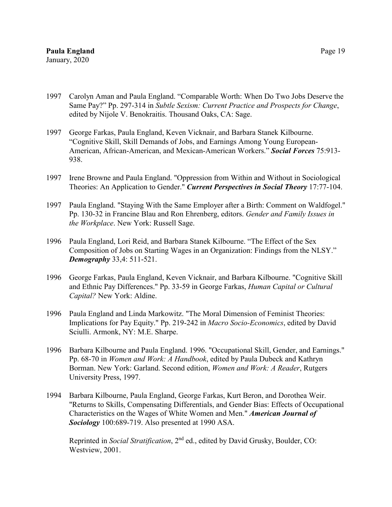- 1997 Carolyn Aman and Paula England. "Comparable Worth: When Do Two Jobs Deserve the Same Pay?" Pp. 297-314 in *Subtle Sexism: Current Practice and Prospects for Change*, edited by Nijole V. Benokraitis. Thousand Oaks, CA: Sage.
- 1997 George Farkas, Paula England, Keven Vicknair, and Barbara Stanek Kilbourne. "Cognitive Skill, Skill Demands of Jobs, and Earnings Among Young European-American, African-American, and Mexican-American Workers." *Social Forces* 75:913- 938.
- 1997 Irene Browne and Paula England. "Oppression from Within and Without in Sociological Theories: An Application to Gender." *Current Perspectives in Social Theory* 17:77-104.
- 1997 Paula England. "Staying With the Same Employer after a Birth: Comment on Waldfogel." Pp. 130-32 in Francine Blau and Ron Ehrenberg, editors. *Gender and Family Issues in the Workplace*. New York: Russell Sage.
- 1996 Paula England, Lori Reid, and Barbara Stanek Kilbourne. "The Effect of the Sex Composition of Jobs on Starting Wages in an Organization: Findings from the NLSY." *Demography* 33,4: 511-521.
- 1996 George Farkas, Paula England, Keven Vicknair, and Barbara Kilbourne. "Cognitive Skill and Ethnic Pay Differences." Pp. 33-59 in George Farkas, *Human Capital or Cultural Capital?* New York: Aldine.
- 1996 Paula England and Linda Markowitz. "The Moral Dimension of Feminist Theories: Implications for Pay Equity." Pp. 219-242 in *Macro Socio-Economics*, edited by David Sciulli. Armonk, NY: M.E. Sharpe.
- 1996 Barbara Kilbourne and Paula England. 1996. "Occupational Skill, Gender, and Earnings." Pp. 68-70 in *Women and Work: A Handbook*, edited by Paula Dubeck and Kathryn Borman. New York: Garland. Second edition, *Women and Work: A Reader*, Rutgers University Press, 1997.
- 1994 Barbara Kilbourne, Paula England, George Farkas, Kurt Beron, and Dorothea Weir. "Returns to Skills, Compensating Differentials, and Gender Bias: Effects of Occupational Characteristics on the Wages of White Women and Men." *American Journal of Sociology* 100:689-719. Also presented at 1990 ASA.

Reprinted in *Social Stratification*, 2nd ed., edited by David Grusky, Boulder, CO: Westview, 2001.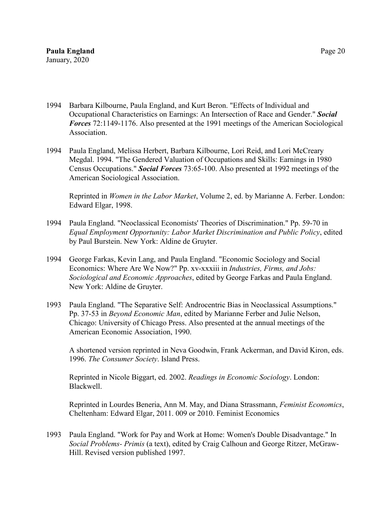- 1994 Barbara Kilbourne, Paula England, and Kurt Beron. "Effects of Individual and Occupational Characteristics on Earnings: An Intersection of Race and Gender." *Social Forces* 72:1149-1176. Also presented at the 1991 meetings of the American Sociological Association.
- 1994 Paula England, Melissa Herbert, Barbara Kilbourne, Lori Reid, and Lori McCreary Megdal. 1994. "The Gendered Valuation of Occupations and Skills: Earnings in 1980 Census Occupations." *Social Forces* 73:65-100. Also presented at 1992 meetings of the American Sociological Association.

Reprinted in *Women in the Labor Market*, Volume 2, ed. by Marianne A. Ferber. London: Edward Elgar, 1998.

- 1994 Paula England. "Neoclassical Economists' Theories of Discrimination." Pp. 59-70 in *Equal Employment Opportunity: Labor Market Discrimination and Public Policy*, edited by Paul Burstein. New York: Aldine de Gruyter.
- 1994 George Farkas, Kevin Lang, and Paula England. "Economic Sociology and Social Economics: Where Are We Now?" Pp. xv-xxxiii in *Industries, Firms, and Jobs: Sociological and Economic Approaches*, edited by George Farkas and Paula England. New York: Aldine de Gruyter.
- 1993 Paula England. "The Separative Self: Androcentric Bias in Neoclassical Assumptions." Pp. 37-53 in *Beyond Economic Man*, edited by Marianne Ferber and Julie Nelson, Chicago: University of Chicago Press. Also presented at the annual meetings of the American Economic Association, 1990.

A shortened version reprinted in Neva Goodwin, Frank Ackerman, and David Kiron, eds. 1996. *The Consumer Society*. Island Press.

Reprinted in Nicole Biggart, ed. 2002. *Readings in Economic Sociology*. London: Blackwell.

Reprinted in Lourdes Beneria, Ann M. May, and Diana Strassmann, *Feminist Economics*, Cheltenham: Edward Elgar, 2011. 009 or 2010. Feminist Economics

1993 Paula England. "Work for Pay and Work at Home: Women's Double Disadvantage." In *Social Problems- Primis* (a text), edited by Craig Calhoun and George Ritzer, McGraw-Hill. Revised version published 1997.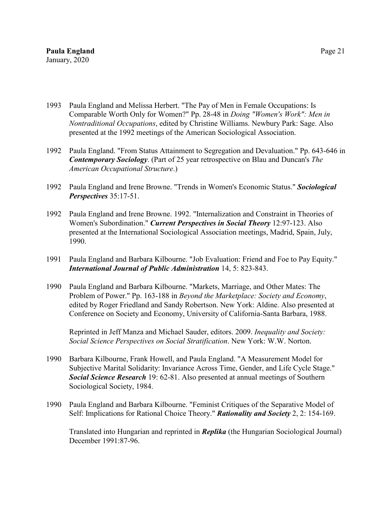1993 Paula England and Melissa Herbert. "The Pay of Men in Female Occupations: Is Comparable Worth Only for Women?" Pp. 28-48 in *Doing "Women's Work": Men in Nontraditional Occupations*, edited by Christine Williams. Newbury Park: Sage. Also presented at the 1992 meetings of the American Sociological Association.

- 1992 Paula England. "From Status Attainment to Segregation and Devaluation." Pp. 643-646 in *Contemporary Sociology*. (Part of 25 year retrospective on Blau and Duncan's *The American Occupational Structure*.)
- 1992 Paula England and Irene Browne. "Trends in Women's Economic Status." *Sociological Perspectives* 35:17-51.
- 1992 Paula England and Irene Browne. 1992. "Internalization and Constraint in Theories of Women's Subordination." *Current Perspectives in Social Theory* 12:97-123. Also presented at the International Sociological Association meetings, Madrid, Spain, July, 1990.
- 1991 Paula England and Barbara Kilbourne. "Job Evaluation: Friend and Foe to Pay Equity." *International Journal of Public Administration* 14, 5: 823-843.
- 1990 Paula England and Barbara Kilbourne. "Markets, Marriage, and Other Mates: The Problem of Power." Pp. 163-188 in *Beyond the Marketplace: Society and Economy*, edited by Roger Friedland and Sandy Robertson. New York: Aldine. Also presented at Conference on Society and Economy, University of California-Santa Barbara, 1988.

Reprinted in Jeff Manza and Michael Sauder, editors. 2009. *Inequality and Society: Social Science Perspectives on Social Stratification*. New York: W.W. Norton.

- 1990 Barbara Kilbourne, Frank Howell, and Paula England. "A Measurement Model for Subjective Marital Solidarity: Invariance Across Time, Gender, and Life Cycle Stage." *Social Science Research* 19: 62-81. Also presented at annual meetings of Southern Sociological Society, 1984.
- 1990 Paula England and Barbara Kilbourne. "Feminist Critiques of the Separative Model of Self: Implications for Rational Choice Theory." *Rationality and Society* 2, 2: 154-169.

Translated into Hungarian and reprinted in *Replika* (the Hungarian Sociological Journal) December 1991:87-96.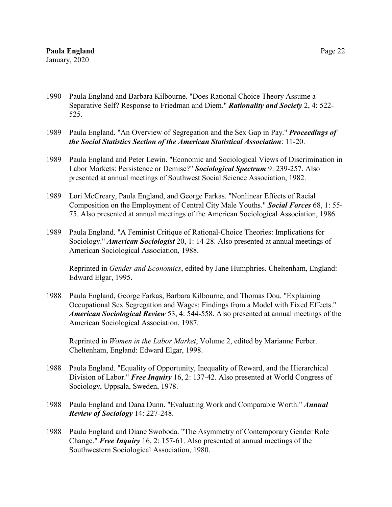- 1990 Paula England and Barbara Kilbourne. "Does Rational Choice Theory Assume a Separative Self? Response to Friedman and Diem." *Rationality and Society* 2, 4: 522- 525.
- 1989 Paula England. "An Overview of Segregation and the Sex Gap in Pay." *Proceedings of the Social Statistics Section of the American Statistical Association*: 11-20.
- 1989 Paula England and Peter Lewin. "Economic and Sociological Views of Discrimination in Labor Markets: Persistence or Demise?" *Sociological Spectrum* 9: 239-257. Also presented at annual meetings of Southwest Social Science Association, 1982.
- 1989 Lori McCreary, Paula England, and George Farkas. "Nonlinear Effects of Racial Composition on the Employment of Central City Male Youths." *Social Forces* 68, 1: 55- 75. Also presented at annual meetings of the American Sociological Association, 1986.
- 1989 Paula England. "A Feminist Critique of Rational-Choice Theories: Implications for Sociology." *American Sociologist* 20, 1: 14-28. Also presented at annual meetings of American Sociological Association, 1988.

Reprinted in *Gender and Economics*, edited by Jane Humphries. Cheltenham, England: Edward Elgar, 1995.

1988 Paula England, George Farkas, Barbara Kilbourne, and Thomas Dou. "Explaining Occupational Sex Segregation and Wages: Findings from a Model with Fixed Effects." *American Sociological Review* 53, 4: 544-558. Also presented at annual meetings of the American Sociological Association, 1987.

Reprinted in *Women in the Labor Market*, Volume 2, edited by Marianne Ferber. Cheltenham, England: Edward Elgar, 1998.

- 1988 Paula England. "Equality of Opportunity, Inequality of Reward, and the Hierarchical Division of Labor." *Free Inquiry* 16, 2: 137-42. Also presented at World Congress of Sociology, Uppsala, Sweden, 1978.
- 1988 Paula England and Dana Dunn. "Evaluating Work and Comparable Worth." *Annual Review of Sociology* 14: 227-248.
- 1988 Paula England and Diane Swoboda. "The Asymmetry of Contemporary Gender Role Change." *Free Inquiry* 16, 2: 157-61. Also presented at annual meetings of the Southwestern Sociological Association, 1980.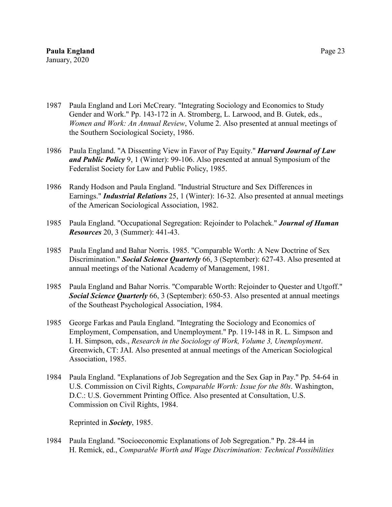- 1987 Paula England and Lori McCreary. "Integrating Sociology and Economics to Study Gender and Work." Pp. 143-172 in A. Stromberg, L. Larwood, and B. Gutek, eds., *Women and Work: An Annual Review*, Volume 2. Also presented at annual meetings of the Southern Sociological Society, 1986.
- 1986 Paula England. "A Dissenting View in Favor of Pay Equity." *Harvard Journal of Law and Public Policy* 9, 1 (Winter): 99-106. Also presented at annual Symposium of the Federalist Society for Law and Public Policy, 1985.
- 1986 Randy Hodson and Paula England. "Industrial Structure and Sex Differences in Earnings." *Industrial Relations* 25, 1 (Winter): 16-32. Also presented at annual meetings of the American Sociological Association, 1982.
- 1985 Paula England. "Occupational Segregation: Rejoinder to Polachek." *Journal of Human Resources* 20, 3 (Summer): 441-43.
- 1985 Paula England and Bahar Norris. 1985. "Comparable Worth: A New Doctrine of Sex Discrimination." *Social Science Quarterly* 66, 3 (September): 627-43. Also presented at annual meetings of the National Academy of Management, 1981.
- 1985 Paula England and Bahar Norris. "Comparable Worth: Rejoinder to Quester and Utgoff." *Social Science Quarterly* 66, 3 (September): 650-53. Also presented at annual meetings of the Southeast Psychological Association, 1984.
- 1985 George Farkas and Paula England. "Integrating the Sociology and Economics of Employment, Compensation, and Unemployment." Pp. 119-148 in R. L. Simpson and I. H. Simpson, eds., *Research in the Sociology of Work, Volume 3, Unemployment*. Greenwich, CT: JAI. Also presented at annual meetings of the American Sociological Association, 1985.
- 1984 Paula England. "Explanations of Job Segregation and the Sex Gap in Pay." Pp. 54-64 in U.S. Commission on Civil Rights, *Comparable Worth: Issue for the 80s*. Washington, D.C.: U.S. Government Printing Office. Also presented at Consultation, U.S. Commission on Civil Rights, 1984.

Reprinted in *Society*, 1985.

1984 Paula England. "Socioeconomic Explanations of Job Segregation." Pp. 28-44 in H. Remick, ed., *Comparable Worth and Wage Discrimination: Technical Possibilities*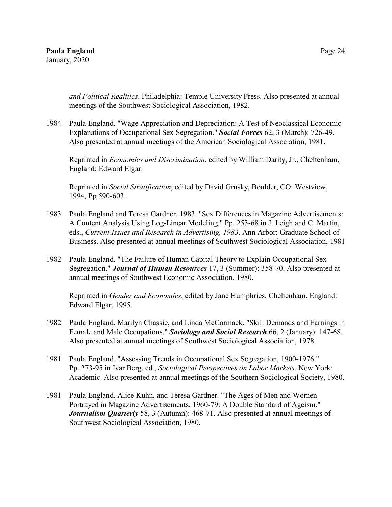*and Political Realities*. Philadelphia: Temple University Press. Also presented at annual meetings of the Southwest Sociological Association, 1982.

1984 Paula England. "Wage Appreciation and Depreciation: A Test of Neoclassical Economic Explanations of Occupational Sex Segregation." *Social Forces* 62, 3 (March): 726-49. Also presented at annual meetings of the American Sociological Association, 1981.

Reprinted in *Economics and Discrimination*, edited by William Darity, Jr., Cheltenham, England: Edward Elgar.

Reprinted in *Social Stratification*, edited by David Grusky, Boulder, CO: Westview, 1994, Pp 590-603.

- 1983 Paula England and Teresa Gardner. 1983. "Sex Differences in Magazine Advertisements: A Content Analysis Using Log-Linear Modeling." Pp. 253-68 in J. Leigh and C. Martin, eds., *Current Issues and Research in Advertising, 1983*. Ann Arbor: Graduate School of Business. Also presented at annual meetings of Southwest Sociological Association, 1981
- 1982 Paula England. "The Failure of Human Capital Theory to Explain Occupational Sex Segregation." *Journal of Human Resources* 17, 3 (Summer): 358-70. Also presented at annual meetings of Southwest Economic Association, 1980.

Reprinted in *Gender and Economics*, edited by Jane Humphries. Cheltenham, England: Edward Elgar, 1995.

- 1982 Paula England, Marilyn Chassie, and Linda McCormack. "Skill Demands and Earnings in Female and Male Occupations." *Sociology and Social Research* 66, 2 (January): 147-68. Also presented at annual meetings of Southwest Sociological Association, 1978.
- 1981 Paula England. "Assessing Trends in Occupational Sex Segregation, 1900-1976." Pp. 273-95 in Ivar Berg, ed., *Sociological Perspectives on Labor Markets*. New York: Academic. Also presented at annual meetings of the Southern Sociological Society, 1980.
- 1981 Paula England, Alice Kuhn, and Teresa Gardner. "The Ages of Men and Women Portrayed in Magazine Advertisements, 1960-79: A Double Standard of Ageism." *Journalism Quarterly* 58, 3 (Autumn): 468-71. Also presented at annual meetings of Southwest Sociological Association, 1980.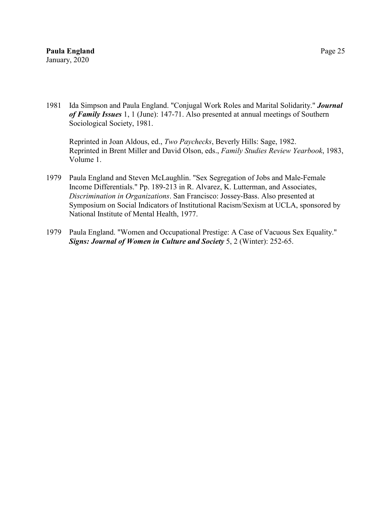1981 Ida Simpson and Paula England. "Conjugal Work Roles and Marital Solidarity." *Journal of Family Issues* 1, 1 (June): 147-71. Also presented at annual meetings of Southern Sociological Society, 1981.

Reprinted in Joan Aldous, ed., *Two Paychecks*, Beverly Hills: Sage, 1982. Reprinted in Brent Miller and David Olson, eds., *Family Studies Review Yearbook*, 1983, Volume 1.

- 1979 Paula England and Steven McLaughlin. "Sex Segregation of Jobs and Male-Female Income Differentials." Pp. 189-213 in R. Alvarez, K. Lutterman, and Associates, *Discrimination in Organizations*. San Francisco: Jossey-Bass. Also presented at Symposium on Social Indicators of Institutional Racism/Sexism at UCLA, sponsored by National Institute of Mental Health, 1977.
- 1979 Paula England. "Women and Occupational Prestige: A Case of Vacuous Sex Equality." *Signs: Journal of Women in Culture and Society* 5, 2 (Winter): 252-65.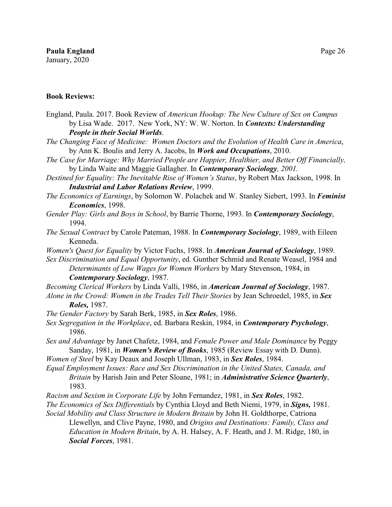#### **Book Reviews:**

- England, Paula. 2017. Book Review of *American Hookup: The New Culture of Sex on Campus* by Lisa Wade. 2017. New York, NY: W. W. Norton. In *Contexts: Understanding People in their Social Worlds*.
- *The Changing Face of Medicine: Women Doctors and the Evolution of Health Care in America*, by Ann K. Boulis and Jerry A. Jacobs, In *Work and Occupations*, 2010.
- *The Case for Marriage: Why Married People are Happier, Healthier, and Better Off Financially,* by Linda Waite and Maggie Gallagher. In *Contemporary Sociology, 2001.*

*Destined for Equality: The Inevitable Rise of Women's Status*, by Robert Max Jackson, 1998. In *Industrial and Labor Relations Review*, 1999.

- *The Economics of Earnings*, by Solomon W. Polachek and W. Stanley Siebert, 1993. In *Feminist Economics*, 1998.
- *Gender Play: Girls and Boys in School*, by Barrie Thorne, 1993. In *Contemporary Sociology*, 1994.
- *The Sexual Contract* by Carole Pateman, 1988. In *Contemporary Sociology*, 1989, with Eileen Kenneda.
- *Women's Quest for Equality* by Victor Fuchs, 1988. In *American Journal of Sociology*, 1989. *Sex Discrimination and Equal Opportunity*, ed. Gunther Schmid and Renate Weasel, 1984 and *Determinants of Low Wages for Women Workers* by Mary Stevenson, 1984, in *Contemporary Sociology*, 1987.
- *Becoming Clerical Workers* by Linda Valli, 1986, in *American Journal of Sociology*, 1987.
- *Alone in the Crowd: Women in the Trades Tell Their Stories* by Jean Schroedel, 1985, in *Sex Roles,* 1987.
- *The Gender Factory* by Sarah Berk, 1985, in *Sex Roles*, 1986.
- *Sex Segregation in the Workplace*, ed. Barbara Reskin, 1984, in *Contemporary Psychology*, 1986.
- *Sex and Advantage* by Janet Chafetz, 1984, and *Female Power and Male Dominance* by Peggy Sanday, 1981, in *Women's Review of Books*, 1985 (Review Essay with D. Dunn).
- *Women of Steel* by Kay Deaux and Joseph Ullman, 1983, in *Sex Roles*, 1984.
- *Equal Employment Issues: Race and Sex Discrimination in the United States, Canada, and Britain* by Harish Jain and Peter Sloane, 1981; in *Administrative Science Quarterly*, 1983.
- *Racism and Sexism in Corporate Life* by John Fernandez, 1981, in *Sex Roles*, 1982. *The Economics of Sex Differentials* by Cynthia Lloyd and Beth Niemi, 1979, in *Signs,* 1981.
- *Social Mobility and Class Structure in Modern Britain* by John H. Goldthorpe, Catriona Llewellyn, and Clive Payne, 1980, and *Origins and Destinations: Family, Class and Education in Modern Britain*, by A. H. Halsey, A. F. Heath, and J. M. Ridge, 180, in *Social Forces*, 1981.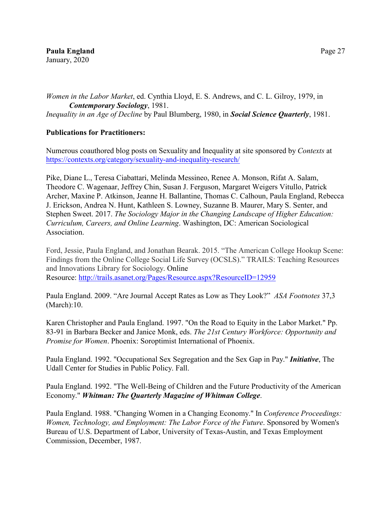*Women in the Labor Market*, ed. Cynthia Lloyd, E. S. Andrews, and C. L. Gilroy, 1979, in *Contemporary Sociology*, 1981. *Inequality in an Age of Decline* by Paul Blumberg, 1980, in *Social Science Quarterly*, 1981.

#### **Publications for Practitioners:**

Numerous coauthored blog posts on Sexuality and Inequality at site sponsored by *Contexts* at <https://contexts.org/category/sexuality-and-inequality-research/>

Pike, Diane L., Teresa Ciabattari, Melinda Messineo, Renee A. Monson, Rifat A. Salam, Theodore C. Wagenaar, Jeffrey Chin, Susan J. Ferguson, Margaret Weigers Vitullo, Patrick Archer, Maxine P. Atkinson, Jeanne H. Ballantine, Thomas C. Calhoun, Paula England, Rebecca J. Erickson, Andrea N. Hunt, Kathleen S. Lowney, Suzanne B. Maurer, Mary S. Senter, and Stephen Sweet. 2017. *The Sociology Major in the Changing Landscape of Higher Education: Curriculum, Careers, and Online Learning*. Washington, DC: American Sociological Association.

Ford, Jessie, Paula England, and Jonathan Bearak. 2015. "The American College Hookup Scene: Findings from the Online College Social Life Survey (OCSLS)." TRAILS: Teaching Resources and Innovations Library for Sociology. Online Resource: [http://trails.asanet.org/Pages/Resource.aspx?ResourceID=12959](https://urldefense.proofpoint.com/v2/url?u=http-3A__trails.asanet.org_Pages_Resource.aspx-3FResourceID-3D12959&d=DwMFaQ&c=slrrB7dE8n7gBJbeO0g-IQ&r=JwzeD9zxgob3SLIHK2jYNw&m=PsA8ZOv-eYXBVnbcApvsZBRqPn3cyalMuf3eGRXkYKw&s=dwvZWWir7IeqEg5OlWX3XCjUiovpnc5NW0Cyms6__jg&e=)

Paula England. 2009. "Are Journal Accept Rates as Low as They Look?" *ASA Footnotes* 37,3 (March):10.

Karen Christopher and Paula England. 1997. "On the Road to Equity in the Labor Market." Pp. 83-91 in Barbara Becker and Janice Monk, eds. *The 21st Century Workforce: Opportunity and Promise for Women*. Phoenix: Soroptimist International of Phoenix.

Paula England. 1992. "Occupational Sex Segregation and the Sex Gap in Pay." *Initiative*, The Udall Center for Studies in Public Policy. Fall.

Paula England. 1992. "The Well-Being of Children and the Future Productivity of the American Economy." *Whitman: The Quarterly Magazine of Whitman College*.

Paula England. 1988. "Changing Women in a Changing Economy." In *Conference Proceedings: Women, Technology, and Employment: The Labor Force of the Future*. Sponsored by Women's Bureau of U.S. Department of Labor, University of Texas-Austin, and Texas Employment Commission, December, 1987.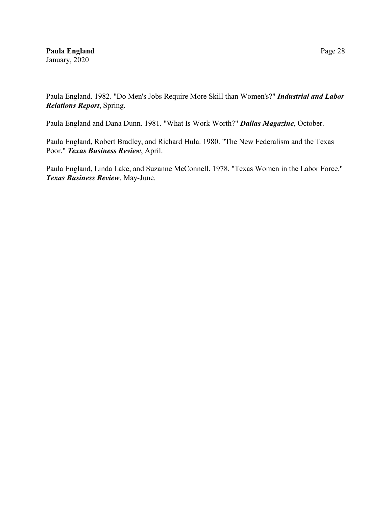Paula England. 1982. "Do Men's Jobs Require More Skill than Women's?" *Industrial and Labor Relations Report*, Spring.

Paula England and Dana Dunn. 1981. "What Is Work Worth?" *Dallas Magazine*, October.

Paula England, Robert Bradley, and Richard Hula. 1980. "The New Federalism and the Texas Poor." *Texas Business Review*, April.

Paula England, Linda Lake, and Suzanne McConnell. 1978. "Texas Women in the Labor Force." *Texas Business Review*, May-June.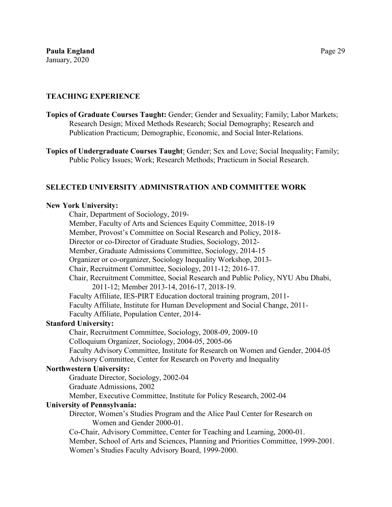#### **TEACHING EXPERIENCE**

**Topics of Graduate Courses Taught:** Gender; Gender and Sexuality; Family; Labor Markets; Research Design; Mixed Methods Research; Social Demography; Research and Publication Practicum; Demographic, Economic, and Social Inter-Relations.

**Topics of Undergraduate Courses Taught**: Gender; Sex and Love; Social Inequality; Family; Public Policy Issues; Work; Research Methods; Practicum in Social Research.

#### **SELECTED UNIVERSITY ADMINISTRATION AND COMMITTEE WORK**

#### **New York University:**

Chair, Department of Sociology, 2019- Member, Faculty of Arts and Sciences Equity Committee, 2018-19 Member, Provost's Committee on Social Research and Policy, 2018- Director or co-Director of Graduate Studies, Sociology, 2012- Member, Graduate Admissions Committee, Sociology, 2014-15 Organizer or co-organizer, Sociology Inequality Workshop, 2013- Chair, Recruitment Committee, Sociology, 2011-12; 2016-17. Chair, Recruitment Committee, Social Research and Public Policy, NYU Abu Dhabi, 2011-12; Member 2013-14, 2016-17, 2018-19. Faculty Affiliate, IES-PIRT Education doctoral training program, 2011- Faculty Affiliate, Institute for Human Development and Social Change, 2011- Faculty Affiliate, Population Center, 2014- **Stanford University:** Chair, Recruitment Committee, Sociology, 2008-09, 2009-10 Colloquium Organizer, Sociology, 2004-05, 2005-06 Faculty Advisory Committee, Institute for Research on Women and Gender, 2004-05 Advisory Committee, Center for Research on Poverty and Inequality **Northwestern University:** Graduate Director, Sociology, 2002-04 Graduate Admissions, 2002 Member, Executive Committee, Institute for Policy Research, 2002-04 **University of Pennsylvania:** Director, Women's Studies Program and the Alice Paul Center for Research on Women and Gender 2000-01. Co-Chair, Advisory Committee, Center for Teaching and Learning, 2000-01. Member, School of Arts and Sciences, Planning and Priorities Committee, 1999-2001. Women's Studies Faculty Advisory Board, 1999-2000.